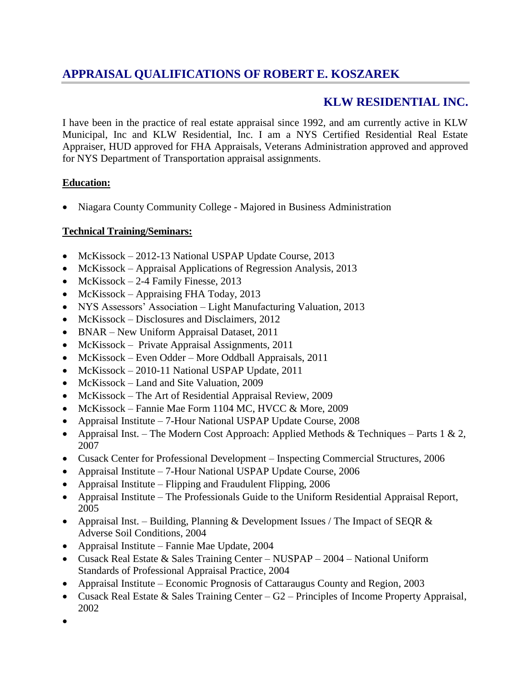# **APPRAISAL QUALIFICATIONS OF ROBERT E. KOSZAREK**

# **KLW RESIDENTIAL INC.**

I have been in the practice of real estate appraisal since 1992, and am currently active in KLW Municipal, Inc and KLW Residential, Inc. I am a NYS Certified Residential Real Estate Appraiser, HUD approved for FHA Appraisals, Veterans Administration approved and approved for NYS Department of Transportation appraisal assignments.

# **Education:**

Niagara County Community College - Majored in Business Administration

# **Technical Training/Seminars:**

- McKissock 2012-13 National USPAP Update Course, 2013
- McKissock Appraisal Applications of Regression Analysis, 2013
- McKissock  $-2$ -4 Family Finesse, 2013
- McKissock Appraising FHA Today, 2013
- NYS Assessors' Association Light Manufacturing Valuation, 2013
- McKissock Disclosures and Disclaimers, 2012
- BNAR New Uniform Appraisal Dataset, 2011
- McKissock Private Appraisal Assignments, 2011
- McKissock Even Odder More Oddball Appraisals, 2011
- McKissock 2010-11 National USPAP Update, 2011
- McKissock Land and Site Valuation, 2009
- McKissock The Art of Residential Appraisal Review, 2009
- McKissock Fannie Mae Form 1104 MC, HVCC & More, 2009
- Appraisal Institute 7-Hour National USPAP Update Course, 2008
- Appraisal Inst. The Modern Cost Approach: Applied Methods & Techniques Parts 1 & 2, 2007
- Cusack Center for Professional Development Inspecting Commercial Structures, 2006
- Appraisal Institute 7-Hour National USPAP Update Course, 2006
- Appraisal Institute Flipping and Fraudulent Flipping, 2006
- Appraisal Institute The Professionals Guide to the Uniform Residential Appraisal Report, 2005
- Appraisal Inst. Building, Planning & Development Issues / The Impact of SEQR  $\&$ Adverse Soil Conditions, 2004
- Appraisal Institute Fannie Mae Update, 2004
- Cusack Real Estate & Sales Training Center NUSPAP 2004 National Uniform Standards of Professional Appraisal Practice, 2004
- Appraisal Institute Economic Prognosis of Cattaraugus County and Region, 2003
- Cusack Real Estate & Sales Training Center G2 Principles of Income Property Appraisal, 2002
- $\bullet$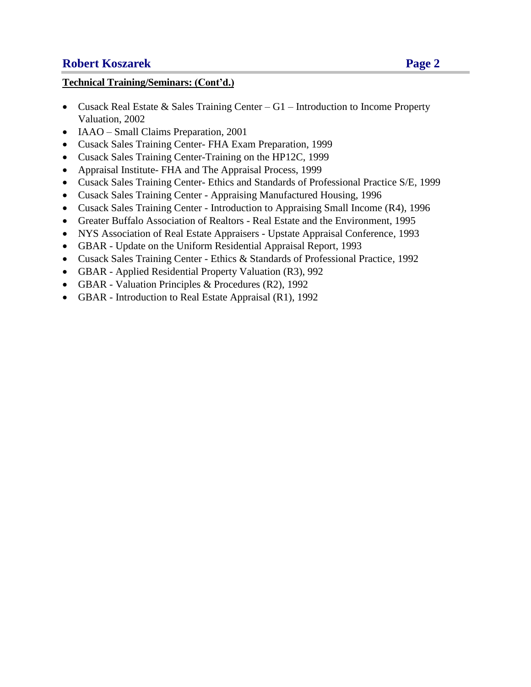# **Robert Koszarek Page 2**

# **Technical Training/Seminars: (Cont'd.)**

- Cusack Real Estate & Sales Training Center G1 Introduction to Income Property Valuation, 2002
- IAAO Small Claims Preparation, 2001
- Cusack Sales Training Center- FHA Exam Preparation, 1999
- Cusack Sales Training Center-Training on the HP12C, 1999
- Appraisal Institute- FHA and The Appraisal Process, 1999
- Cusack Sales Training Center- Ethics and Standards of Professional Practice S/E, 1999
- Cusack Sales Training Center Appraising Manufactured Housing, 1996
- Cusack Sales Training Center Introduction to Appraising Small Income (R4), 1996
- Greater Buffalo Association of Realtors Real Estate and the Environment, 1995
- NYS Association of Real Estate Appraisers Upstate Appraisal Conference, 1993
- GBAR Update on the Uniform Residential Appraisal Report, 1993
- Cusack Sales Training Center Ethics & Standards of Professional Practice, 1992
- GBAR Applied Residential Property Valuation (R3), 992
- GBAR Valuation Principles & Procedures (R2), 1992
- GBAR Introduction to Real Estate Appraisal (R1), 1992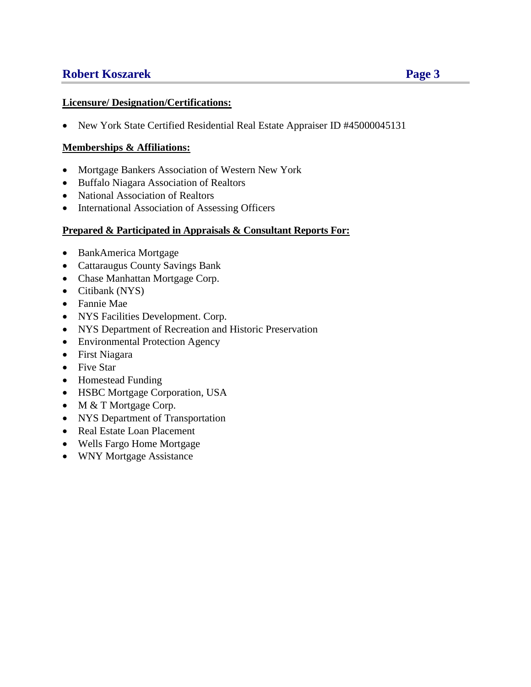# **Robert Koszarek Page 3**

### **Licensure/ Designation/Certifications:**

New York State Certified Residential Real Estate Appraiser ID #45000045131

## **Memberships & Affiliations:**

- Mortgage Bankers Association of Western New York
- Buffalo Niagara Association of Realtors
- National Association of Realtors
- International Association of Assessing Officers

### **Prepared & Participated in Appraisals & Consultant Reports For:**

- BankAmerica Mortgage
- Cattaraugus County Savings Bank
- Chase Manhattan Mortgage Corp.
- Citibank (NYS)
- Fannie Mae
- NYS Facilities Development. Corp.
- NYS Department of Recreation and Historic Preservation
- Environmental Protection Agency
- First Niagara
- Five Star
- Homestead Funding
- HSBC Mortgage Corporation, USA
- M & T Mortgage Corp.
- NYS Department of Transportation
- Real Estate Loan Placement
- Wells Fargo Home Mortgage
- WNY Mortgage Assistance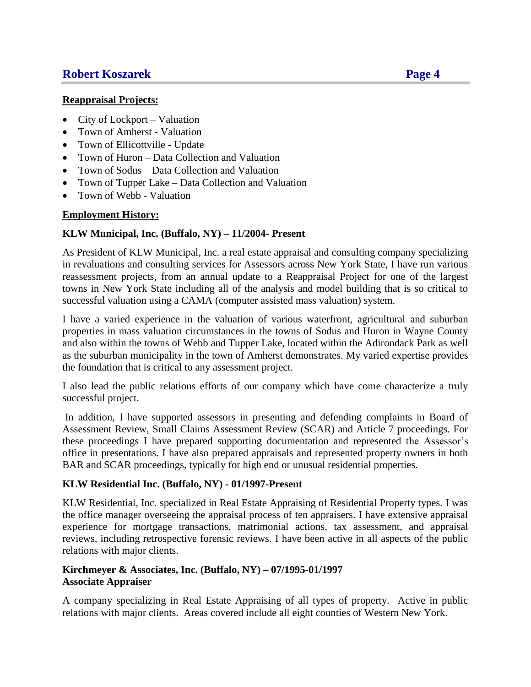# **Robert Koszarek Page 4**

### **Reappraisal Projects:**

- City of Lockport Valuation
- Town of Amherst Valuation
- Town of Ellicottville Update
- Town of Huron Data Collection and Valuation
- Town of Sodus Data Collection and Valuation
- Town of Tupper Lake Data Collection and Valuation
- Town of Webb Valuation

## **Employment History:**

## **KLW Municipal, Inc. (Buffalo, NY) – 11/2004- Present**

As President of KLW Municipal, Inc. a real estate appraisal and consulting company specializing in revaluations and consulting services for Assessors across New York State, I have run various reassessment projects, from an annual update to a Reappraisal Project for one of the largest towns in New York State including all of the analysis and model building that is so critical to successful valuation using a CAMA (computer assisted mass valuation) system.

I have a varied experience in the valuation of various waterfront, agricultural and suburban properties in mass valuation circumstances in the towns of Sodus and Huron in Wayne County and also within the towns of Webb and Tupper Lake, located within the Adirondack Park as well as the suburban municipality in the town of Amherst demonstrates. My varied expertise provides the foundation that is critical to any assessment project.

I also lead the public relations efforts of our company which have come characterize a truly successful project.

In addition, I have supported assessors in presenting and defending complaints in Board of Assessment Review, Small Claims Assessment Review (SCAR) and Article 7 proceedings. For these proceedings I have prepared supporting documentation and represented the Assessor's office in presentations. I have also prepared appraisals and represented property owners in both BAR and SCAR proceedings, typically for high end or unusual residential properties.

## **KLW Residential Inc. (Buffalo, NY) - 01/1997-Present**

KLW Residential, Inc. specialized in Real Estate Appraising of Residential Property types. I was the office manager overseeing the appraisal process of ten appraisers. I have extensive appraisal experience for mortgage transactions, matrimonial actions, tax assessment, and appraisal reviews, including retrospective forensic reviews. I have been active in all aspects of the public relations with major clients.

### **Kirchmeyer & Associates, Inc. (Buffalo, NY) – 07/1995-01/1997 Associate Appraiser**

A company specializing in Real Estate Appraising of all types of property. Active in public relations with major clients. Areas covered include all eight counties of Western New York.